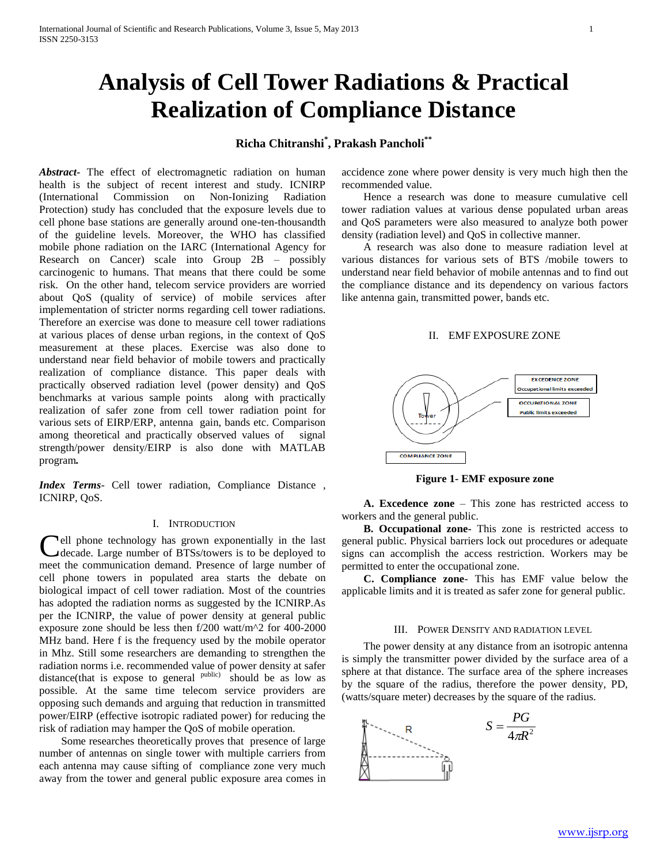# **Analysis of Cell Tower Radiations & Practical Realization of Compliance Distance**

## **Richa Chitranshi\* , Prakash Pancholi\*\***

*Abstract***-** The effect of electromagnetic radiation on human health is the subject of recent interest and study. ICNIRP (International Commission on Non-Ionizing Radiation Protection) study has concluded that the exposure levels due to cell phone base stations are generally around one-ten-thousandth of the guideline levels. Moreover, the WHO has classified mobile phone radiation on the IARC (International Agency for Research on Cancer) scale into Group 2B – possibly carcinogenic to humans. That means that there could be some risk. On the other hand, telecom service providers are worried about QoS (quality of service) of mobile services after implementation of stricter norms regarding cell tower radiations. Therefore an exercise was done to measure cell tower radiations at various places of dense urban regions, in the context of QoS measurement at these places. Exercise was also done to understand near field behavior of mobile towers and practically realization of compliance distance. This paper deals with practically observed radiation level (power density) and QoS benchmarks at various sample points along with practically realization of safer zone from cell tower radiation point for various sets of EIRP/ERP, antenna gain, bands etc. Comparison among theoretical and practically observed values of signal strength/power density/EIRP is also done with MATLAB program*.*

*Index Terms*- Cell tower radiation, Compliance Distance , ICNIRP, QoS.

#### I. INTRODUCTION

**Fell phone technology has grown exponentially in the last** Cell phone technology has grown exponentially in the last decade. Large number of BTSs/towers is to be deployed to meet the communication demand. Presence of large number of cell phone towers in populated area starts the debate on biological impact of cell tower radiation. Most of the countries has adopted the radiation norms as suggested by the ICNIRP.As per the ICNIRP, the value of power density at general public exposure zone should be less then f/200 watt/m^2 for 400-2000 MHz band. Here f is the frequency used by the mobile operator in Mhz. Still some researchers are demanding to strengthen the radiation norms i.e. recommended value of power density at safer distance(that is expose to general  $p_{\text{ubble}}$ ) should be as low as possible. At the same time telecom service providers are opposing such demands and arguing that reduction in transmitted power/EIRP (effective isotropic radiated power) for reducing the risk of radiation may hamper the QoS of mobile operation.

 Some researches theoretically proves that presence of large number of antennas on single tower with multiple carriers from each antenna may cause sifting of compliance zone very much away from the tower and general public exposure area comes in

accidence zone where power density is very much high then the recommended value.

 Hence a research was done to measure cumulative cell tower radiation values at various dense populated urban areas and QoS parameters were also measured to analyze both power density (radiation level) and QoS in collective manner.

 A research was also done to measure radiation level at various distances for various sets of BTS /mobile towers to understand near field behavior of mobile antennas and to find out the compliance distance and its dependency on various factors like antenna gain, transmitted power, bands etc.

#### II. EMF EXPOSURE ZONE



**Figure 1- EMF exposure zone**

 **A. Excedence zone** – This zone has restricted access to workers and the general public.

 **B. Occupational zone-** This zone is restricted access to general public. Physical barriers lock out procedures or adequate signs can accomplish the access restriction. Workers may be permitted to enter the occupational zone.

 **C. Compliance zone**- This has EMF value below the applicable limits and it is treated as safer zone for general public.

#### III. POWER DENSITY AND RADIATION LEVEL

 The power density at any distance from an isotropic antenna is simply the transmitter power divided by the surface area of a sphere at that distance. The surface area of the sphere increases by the square of the radius, therefore the power density, PD, (watts/square meter) decreases by the square of the radius.

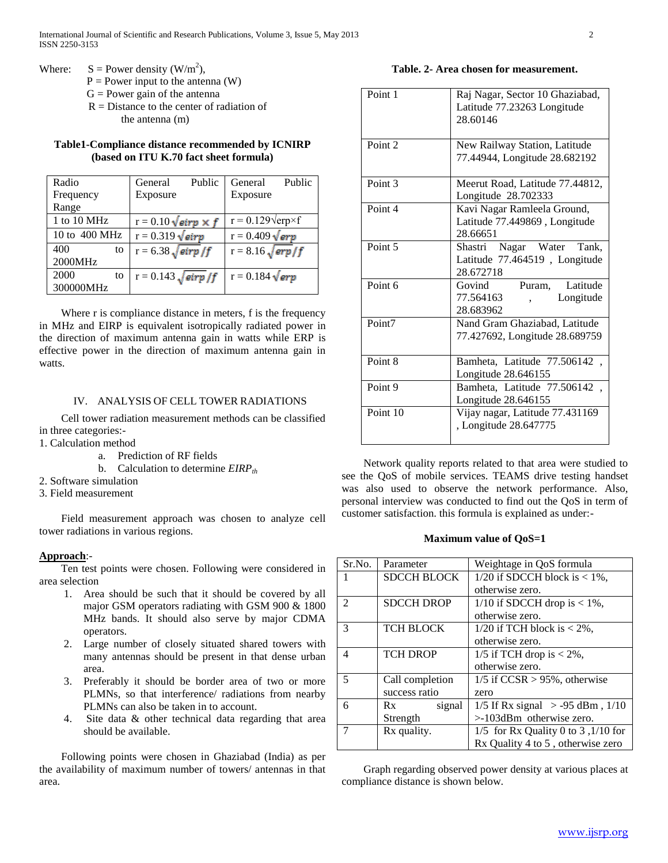- Where:  $S = Power density (W/m<sup>2</sup>)$ ,
	- $P = Power input to the antenna (W)$
	- $G = Power$  gain of the antenna
	- R = Distance to the center of radiation of the antenna (m)

## **Table1-Compliance distance recommended by ICNIRP (based on ITU K.70 fact sheet formula)**

| Radio         | General                         | Public | General                         | Public |
|---------------|---------------------------------|--------|---------------------------------|--------|
| Frequency     | Exposure                        |        | Exposure                        |        |
| Range         |                                 |        |                                 |        |
| 1 to 10 MHz   | $r = 0.10 \sqrt{eirp \times f}$ |        | $r = 0.129 \text{V}$ erp×f      |        |
| 10 to 400 MHz | $r = 0.319 \sqrt{eirp}$         |        | $r = 0.409 \sqrt{e r p}$        |        |
| 400<br>to     | $r = 6.38 \sqrt{eirp/f}$        |        | $r = 8.16 \sqrt{\frac{erp}{f}}$ |        |
| 2000MHz       |                                 |        |                                 |        |
| 2000<br>to    | $r = 0.143 \sqrt{eirp}/f$       |        | $r = 0.184 \sqrt{e r p}$        |        |
| 300000MHz     |                                 |        |                                 |        |

Where r is compliance distance in meters, f is the frequency in MHz and EIRP is equivalent isotropically radiated power in the direction of maximum antenna gain in watts while ERP is effective power in the direction of maximum antenna gain in watts.

## IV. ANALYSIS OF CELL TOWER RADIATIONS

 Cell tower radiation measurement methods can be classified in three categories:-

- 1. Calculation method
	- a. Prediction of RF fields
	- b. Calculation to determine *EIRPth*
- 2. Software simulation
- 3. Field measurement

 Field measurement approach was chosen to analyze cell tower radiations in various regions.

## **Approach**:-

 Ten test points were chosen. Following were considered in area selection

- 1. Area should be such that it should be covered by all major GSM operators radiating with GSM 900 & 1800 MHz bands. It should also serve by major CDMA operators.
- 2. Large number of closely situated shared towers with many antennas should be present in that dense urban area.
- 3. Preferably it should be border area of two or more PLMNs, so that interference/ radiations from nearby PLMNs can also be taken in to account.
- 4. Site data & other technical data regarding that area should be available.

 Following points were chosen in Ghaziabad (India) as per the availability of maximum number of towers/ antennas in that area.

### **Table. 2- Area chosen for measurement.**

| Point 1            | Raj Nagar, Sector 10 Ghaziabad,<br>Latitude 77.23263 Longitude<br>28.60146 |
|--------------------|----------------------------------------------------------------------------|
| Point <sub>2</sub> | New Railway Station, Latitude<br>77.44944, Longitude 28.682192             |
| Point <sub>3</sub> | Meerut Road, Latitude 77.44812,<br>Longitude 28.702333                     |
| Point 4            | Kavi Nagar Ramleela Ground,<br>Latitude 77.449869, Longitude<br>28.66651   |
| Point 5            | Shastri Nagar Water Tank,<br>Latitude 77.464519, Longitude<br>28.672718    |
| Point 6            | Govind<br>Puram, Latitude<br>77.564163<br>Longitude<br>28.683962           |
| Point7             | Nand Gram Ghaziabad, Latitude<br>77.427692, Longitude 28.689759            |
| Point 8            | Bamheta, Latitude 77.506142,<br>Longitude 28.646155                        |
| Point <sub>9</sub> | Bamheta, Latitude 77.506142,<br>Longitude 28.646155                        |
| Point 10           | Vijay nagar, Latitude 77.431169<br>, Longitude 28.647775                   |

 Network quality reports related to that area were studied to see the QoS of mobile services. TEAMS drive testing handset was also used to observe the network performance. Also, personal interview was conducted to find out the QoS in term of customer satisfaction. this formula is explained as under:-

## **Maximum value of QoS=1**

| Sr.No.                   | Parameter          | Weightage in QoS formula             |  |
|--------------------------|--------------------|--------------------------------------|--|
|                          | <b>SDCCH BLOCK</b> | $1/20$ if SDCCH block is < 1%,       |  |
|                          |                    | otherwise zero.                      |  |
| $\mathfrak{D}$           | <b>SDCCH DROP</b>  | $1/10$ if SDCCH drop is < 1%,        |  |
|                          |                    | otherwise zero.                      |  |
| 3                        | <b>TCH BLOCK</b>   | 1/20 if TCH block is $<$ 2%,         |  |
|                          |                    | otherwise zero.                      |  |
| $\overline{\mathcal{A}}$ | <b>TCH DROP</b>    | 1/5 if TCH drop is $<$ 2%,           |  |
|                          |                    | otherwise zero.                      |  |
| 5                        | Call completion    | $1/5$ if CCSR > 95%, otherwise       |  |
|                          | success ratio      | zero                                 |  |
| 6                        | signal<br>Rx       | 1/5 If Rx signal $> -95$ dBm, $1/10$ |  |
|                          | Strength           | $>103$ dBm otherwise zero.           |  |
|                          | Rx quality.        | 1/5 for Rx Quality 0 to 3,1/10 for   |  |
|                          |                    | Rx Quality 4 to 5, otherwise zero    |  |

 Graph regarding observed power density at various places at compliance distance is shown below.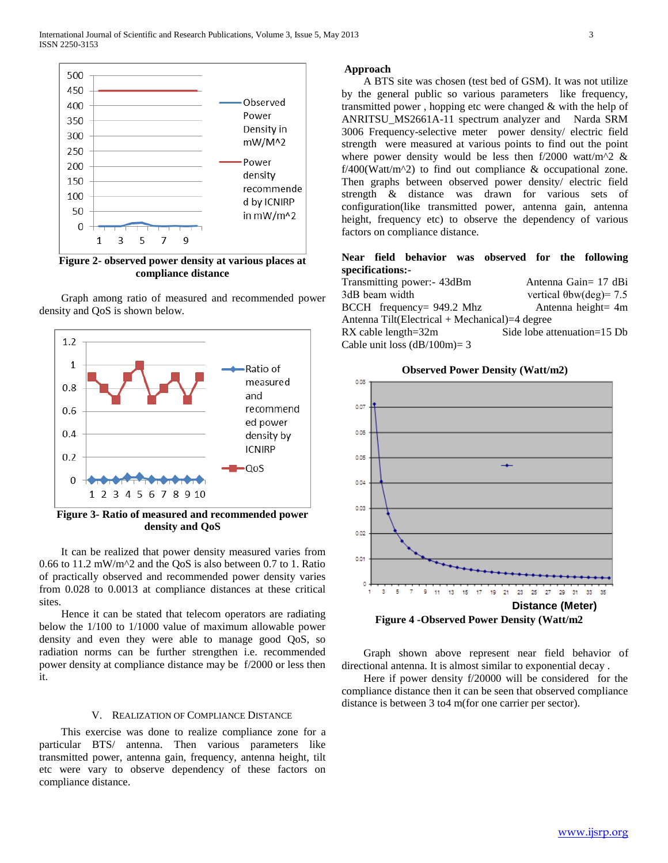

**Figure 2- observed power density at various places at compliance distance**

 Graph among ratio of measured and recommended power density and QoS is shown below.



**Figure 3- Ratio of measured and recommended power density and QoS**

 It can be realized that power density measured varies from 0.66 to 11.2 mW/m^2 and the QoS is also between 0.7 to 1. Ratio of practically observed and recommended power density varies from 0.028 to 0.0013 at compliance distances at these critical sites.

 Hence it can be stated that telecom operators are radiating below the 1/100 to 1/1000 value of maximum allowable power density and even they were able to manage good QoS, so radiation norms can be further strengthen i.e. recommended power density at compliance distance may be f/2000 or less then it.

#### V. REALIZATION OF COMPLIANCE DISTANCE

 This exercise was done to realize compliance zone for a particular BTS/ antenna. Then various parameters like transmitted power, antenna gain, frequency, antenna height, tilt etc were vary to observe dependency of these factors on compliance distance.

#### **Approach**

 A BTS site was chosen (test bed of GSM). It was not utilize by the general public so various parameters like frequency, transmitted power , hopping etc were changed & with the help of ANRITSU\_MS2661A-11 spectrum analyzer and Narda SRM 3006 Frequency-selective meter power density/ electric field strength were measured at various points to find out the point where power density would be less then f/2000 watt/m^2  $\&$  $f/400$ (Watt/m<sup> $\lambda$ </sup>) to find out compliance & occupational zone. Then graphs between observed power density/ electric field strength & distance was drawn for various sets of configuration(like transmitted power, antenna gain, antenna height, frequency etc) to observe the dependency of various factors on compliance distance.

## **Near field behavior was observed for the following specifications:-**

| Transmitting power: 43dBm                      | Antenna Gain= 17 dBi            |  |  |  |
|------------------------------------------------|---------------------------------|--|--|--|
| 3dB beam width                                 | vertical $\theta$ bw(deg) = 7.5 |  |  |  |
| $BCCH$ frequency= 949.2 Mhz                    | Antenna height= 4m              |  |  |  |
| Antenna Tilt(Electrical + Mechanical)=4 degree |                                 |  |  |  |
| $RX$ cable length= $32m$                       | Side lobe attenuation=15 Db     |  |  |  |
| Cable unit loss $(dB/100m)=3$                  |                                 |  |  |  |

**Observed Power Density (Watt/m2)**



**Figure 4 -Observed Power Density (Watt/m2**

 Graph shown above represent near field behavior of directional antenna. It is almost similar to exponential decay .

 Here if power density f/20000 will be considered for the compliance distance then it can be seen that observed compliance distance is between 3 to4 m(for one carrier per sector).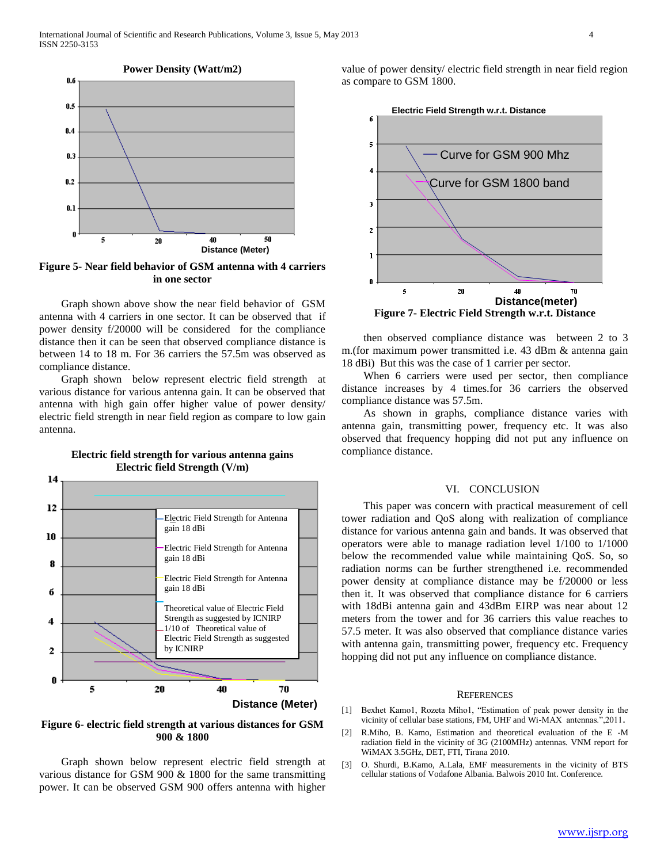

**Figure 5- Near field behavior of GSM antenna with 4 carriers in one sector**

 Graph shown above show the near field behavior of GSM antenna with 4 carriers in one sector. It can be observed that if power density f/20000 will be considered for the compliance distance then it can be seen that observed compliance distance is between 14 to 18 m. For 36 carriers the 57.5m was observed as compliance distance.

 Graph shown below represent electric field strength at various distance for various antenna gain. It can be observed that antenna with high gain offer higher value of power density/ electric field strength in near field region as compare to low gain antenna.



#### **Electric field strength for various antenna gains Electric field Strength (V/m)**

**Figure 6- electric field strength at various distances for GSM 900 & 1800**

 Graph shown below represent electric field strength at various distance for GSM 900 & 1800 for the same transmitting power. It can be observed GSM 900 offers antenna with higher value of power density/ electric field strength in near field region as compare to GSM 1800.



 then observed compliance distance was between 2 to 3 m.(for maximum power transmitted i.e. 43 dBm & antenna gain 18 dBi) But this was the case of 1 carrier per sector.

 When 6 carriers were used per sector, then compliance distance increases by 4 times.for 36 carriers the observed compliance distance was 57.5m.

 As shown in graphs, compliance distance varies with antenna gain, transmitting power, frequency etc. It was also observed that frequency hopping did not put any influence on compliance distance.

#### VI. CONCLUSION

 This paper was concern with practical measurement of cell tower radiation and QoS along with realization of compliance distance for various antenna gain and bands. It was observed that operators were able to manage radiation level 1/100 to 1/1000 below the recommended value while maintaining QoS. So, so radiation norms can be further strengthened i.e. recommended power density at compliance distance may be f/20000 or less then it. It was observed that compliance distance for 6 carriers with 18dBi antenna gain and 43dBm EIRP was near about 12 meters from the tower and for 36 carriers this value reaches to 57.5 meter. It was also observed that compliance distance varies with antenna gain, transmitting power, frequency etc. Frequency hopping did not put any influence on compliance distance.

#### **REFERENCES**

- [1] Bexhet Kamo1, Rozeta Miho1, "Estimation of peak power density in the vicinity of cellular base stations, FM, UHF and Wi-MAX antennas.",2011.
- [2] R.Miho, B. Kamo, Estimation and theoretical evaluation of the E -M radiation field in the vicinity of 3G (2100MHz) antennas. VNM report for WiMAX 3.5GHz, DET, FTI, Tirana 2010.
- [3] O. Shurdi, B.Kamo, A.Lala, EMF measurements in the vicinity of BTS cellular stations of Vodafone Albania. Balwois 2010 Int. Conference.